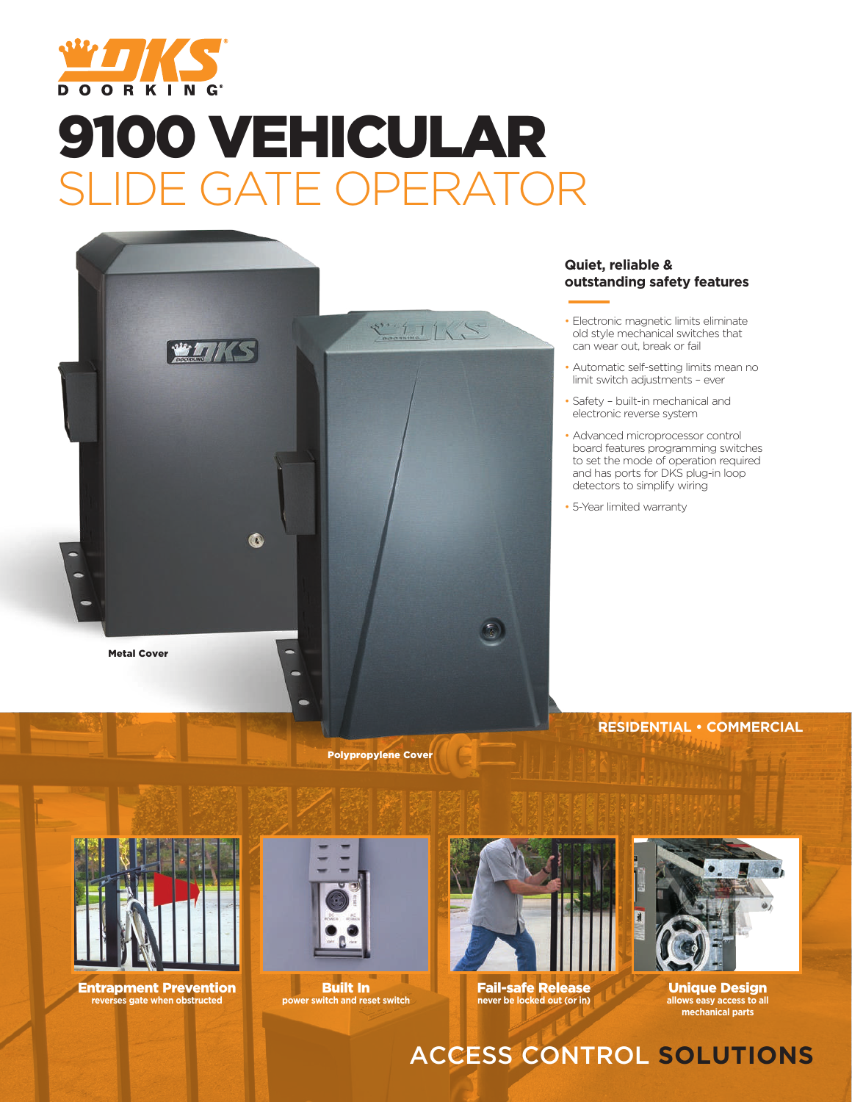

# 9100 VEHICULAR F GATE OF



#### **Quiet, reliable & outstanding safety features**

- Electronic magnetic limits eliminate old style mechanical switches that can wear out, break or fail
- Automatic self-setting limits mean no limit switch adjustments – ever
- Safety built-in mechanical and electronic reverse system
- Advanced microprocessor control board features programming switches to set the mode of operation required and has ports for DKS plug-in loop detectors to simplify wiring
- 5-Year limited warranty

**RESIDENTIAL • COMMERCIAL**



Entrapment Prevention **reverses gate when obstructed**



Polypropylene Cover

Built In **power switch and reset switch**



Fail-safe Release **never be locked out (or in)** 



Unique Design **allows easy access to all mechanical parts**

### ACCESS CONTROL **SOLUTIONS**